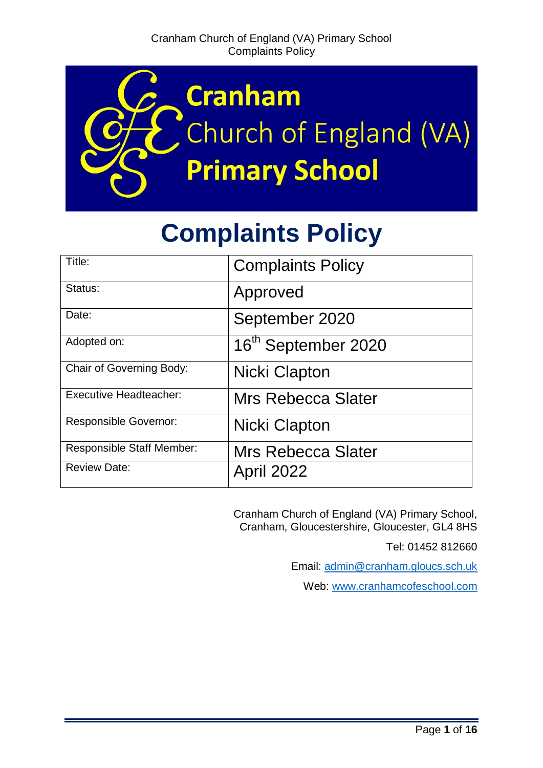

# **Complaints Policy**

| Title:                        | <b>Complaints Policy</b>        |
|-------------------------------|---------------------------------|
| Status:                       | Approved                        |
| Date:                         | September 2020                  |
| Adopted on:                   | 16 <sup>th</sup> September 2020 |
| Chair of Governing Body:      | Nicki Clapton                   |
| <b>Executive Headteacher:</b> | <b>Mrs Rebecca Slater</b>       |
| <b>Responsible Governor:</b>  | Nicki Clapton                   |
| Responsible Staff Member:     | <b>Mrs Rebecca Slater</b>       |
| <b>Review Date:</b>           | <b>April 2022</b>               |

Cranham Church of England (VA) Primary School, Cranham, Gloucestershire, Gloucester, GL4 8HS

Tel: 01452 812660

Email: [admin@cranham.gloucs.sch.uk](mailto:admin@cranham.gloucs.sch.uk)

Web: [www.cranhamcofeschool.com](http://www.cranhamcofeschool.com/)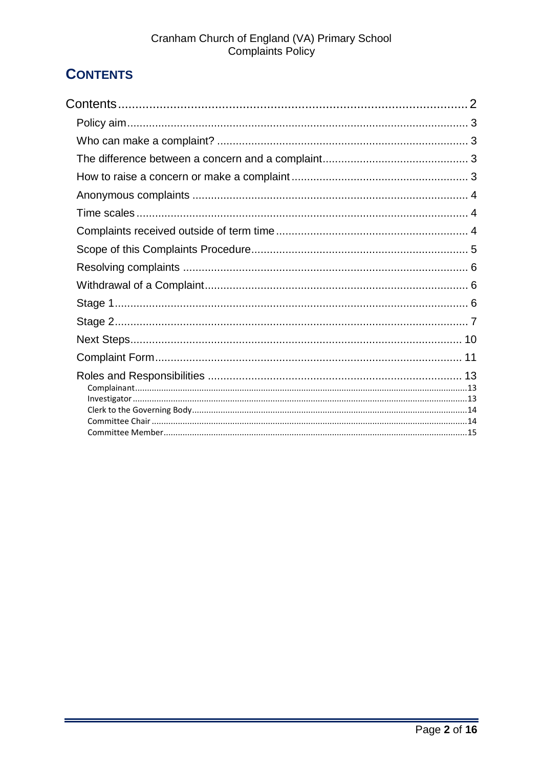# <span id="page-1-0"></span>**CONTENTS**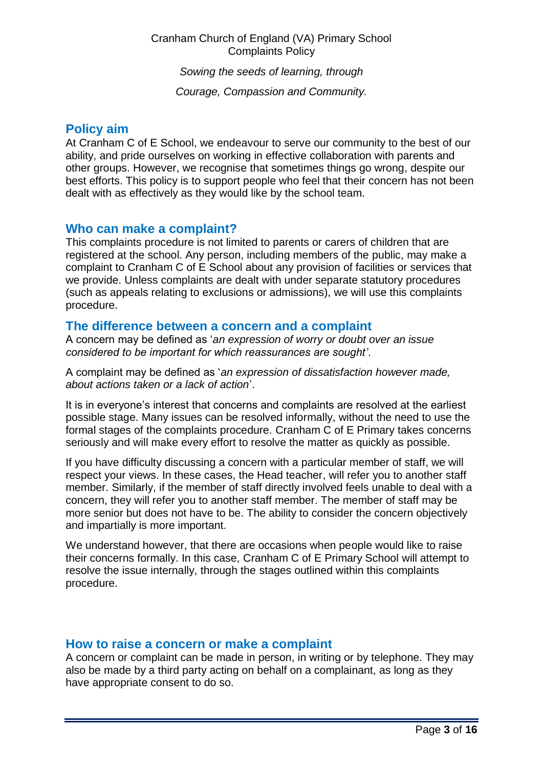#### Cranham Church of England (VA) Primary School Complaints Policy

*Sowing the seeds of learning, through*

*Courage, Compassion and Community.*

#### <span id="page-2-0"></span>**Policy aim**

At Cranham C of E School, we endeavour to serve our community to the best of our ability, and pride ourselves on working in effective collaboration with parents and other groups. However, we recognise that sometimes things go wrong, despite our best efforts. This policy is to support people who feel that their concern has not been dealt with as effectively as they would like by the school team.

#### <span id="page-2-1"></span>**Who can make a complaint?**

This complaints procedure is not limited to parents or carers of children that are registered at the school. Any person, including members of the public, may make a complaint to Cranham C of E School about any provision of facilities or services that we provide. Unless complaints are dealt with under separate statutory procedures (such as appeals relating to exclusions or admissions), we will use this complaints procedure.

#### <span id="page-2-2"></span>**The difference between a concern and a complaint**

A concern may be defined as '*an expression of worry or doubt over an issue considered to be important for which reassurances are sought'*.

A complaint may be defined as '*an expression of dissatisfaction however made, about actions taken or a lack of action*'.

It is in everyone's interest that concerns and complaints are resolved at the earliest possible stage. Many issues can be resolved informally, without the need to use the formal stages of the complaints procedure. Cranham C of E Primary takes concerns seriously and will make every effort to resolve the matter as quickly as possible.

If you have difficulty discussing a concern with a particular member of staff, we will respect your views. In these cases, the Head teacher, will refer you to another staff member. Similarly, if the member of staff directly involved feels unable to deal with a concern, they will refer you to another staff member. The member of staff may be more senior but does not have to be. The ability to consider the concern objectively and impartially is more important.

We understand however, that there are occasions when people would like to raise their concerns formally. In this case, Cranham C of E Primary School will attempt to resolve the issue internally, through the stages outlined within this complaints procedure.

#### <span id="page-2-3"></span>**How to raise a concern or make a complaint**

A concern or complaint can be made in person, in writing or by telephone. They may also be made by a third party acting on behalf on a complainant, as long as they have appropriate consent to do so.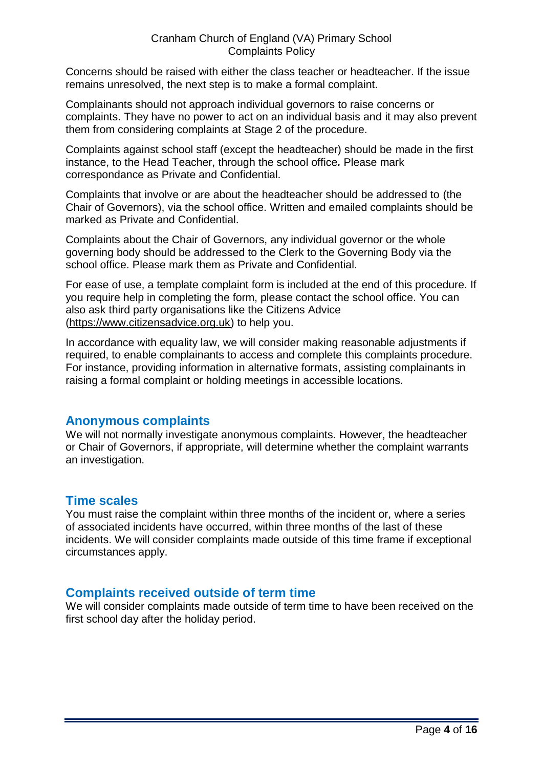Concerns should be raised with either the class teacher or headteacher. If the issue remains unresolved, the next step is to make a formal complaint.

Complainants should not approach individual governors to raise concerns or complaints. They have no power to act on an individual basis and it may also prevent them from considering complaints at Stage 2 of the procedure.

Complaints against school staff (except the headteacher) should be made in the first instance, to the Head Teacher, through the school office*.* Please mark correspondance as Private and Confidential.

Complaints that involve or are about the headteacher should be addressed to (the Chair of Governors), via the school office. Written and emailed complaints should be marked as Private and Confidential.

Complaints about the Chair of Governors, any individual governor or the whole governing body should be addressed to the Clerk to the Governing Body via the school office. Please mark them as Private and Confidential.

For ease of use, a template complaint form is included at the end of this procedure. If you require help in completing the form, please contact the school office. You can also ask third party organisations like the Citizens Advice [\(https://www.citizensadvice.org.uk\)](https://www.citizensadvice.org.uk/) to help you.

In accordance with equality law, we will consider making reasonable adjustments if required, to enable complainants to access and complete this complaints procedure. For instance, providing information in alternative formats, assisting complainants in raising a formal complaint or holding meetings in accessible locations.

# <span id="page-3-0"></span>**Anonymous complaints**

We will not normally investigate anonymous complaints. However, the headteacher or Chair of Governors, if appropriate, will determine whether the complaint warrants an investigation.

# <span id="page-3-1"></span>**Time scales**

You must raise the complaint within three months of the incident or, where a series of associated incidents have occurred, within three months of the last of these incidents. We will consider complaints made outside of this time frame if exceptional circumstances apply.

# <span id="page-3-2"></span>**Complaints received outside of term time**

We will consider complaints made outside of term time to have been received on the first school day after the holiday period.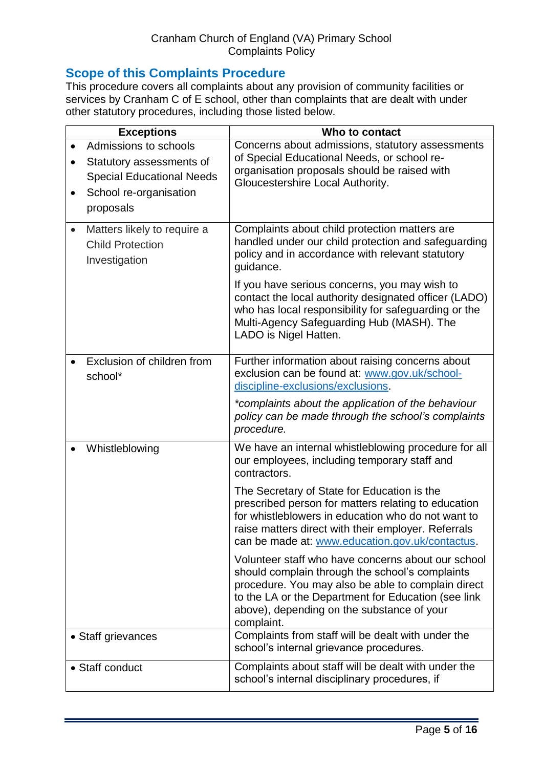# <span id="page-4-0"></span>**Scope of this Complaints Procedure**

This procedure covers all complaints about any provision of community facilities or services by Cranham C of E school, other than complaints that are dealt with under other statutory procedures, including those listed below.

| <b>Exceptions</b>                                                                                                                         | Who to contact                                                                                                                                                                                                                                                                                                                                                                                                                                                                                                                                                                                                                                                               |
|-------------------------------------------------------------------------------------------------------------------------------------------|------------------------------------------------------------------------------------------------------------------------------------------------------------------------------------------------------------------------------------------------------------------------------------------------------------------------------------------------------------------------------------------------------------------------------------------------------------------------------------------------------------------------------------------------------------------------------------------------------------------------------------------------------------------------------|
| Admissions to schools<br>Statutory assessments of<br>$\bullet$<br><b>Special Educational Needs</b><br>School re-organisation<br>proposals | Concerns about admissions, statutory assessments<br>of Special Educational Needs, or school re-<br>organisation proposals should be raised with<br>Gloucestershire Local Authority.                                                                                                                                                                                                                                                                                                                                                                                                                                                                                          |
| Matters likely to require a<br>$\bullet$<br><b>Child Protection</b><br>Investigation                                                      | Complaints about child protection matters are<br>handled under our child protection and safeguarding<br>policy and in accordance with relevant statutory<br>guidance.<br>If you have serious concerns, you may wish to<br>contact the local authority designated officer (LADO)<br>who has local responsibility for safeguarding or the<br>Multi-Agency Safeguarding Hub (MASH). The<br>LADO is Nigel Hatten.                                                                                                                                                                                                                                                                |
| Exclusion of children from<br>school*                                                                                                     | Further information about raising concerns about<br>exclusion can be found at: www.gov.uk/school-<br>discipline-exclusions/exclusions.<br>*complaints about the application of the behaviour<br>policy can be made through the school's complaints<br>procedure.                                                                                                                                                                                                                                                                                                                                                                                                             |
| Whistleblowing                                                                                                                            | We have an internal whistleblowing procedure for all<br>our employees, including temporary staff and<br>contractors.<br>The Secretary of State for Education is the<br>prescribed person for matters relating to education<br>for whistleblowers in education who do not want to<br>raise matters direct with their employer. Referrals<br>can be made at: www.education.gov.uk/contactus.<br>Volunteer staff who have concerns about our school<br>should complain through the school's complaints<br>procedure. You may also be able to complain direct<br>to the LA or the Department for Education (see link<br>above), depending on the substance of your<br>complaint. |
| • Staff grievances                                                                                                                        | Complaints from staff will be dealt with under the<br>school's internal grievance procedures.                                                                                                                                                                                                                                                                                                                                                                                                                                                                                                                                                                                |
| • Staff conduct                                                                                                                           | Complaints about staff will be dealt with under the<br>school's internal disciplinary procedures, if                                                                                                                                                                                                                                                                                                                                                                                                                                                                                                                                                                         |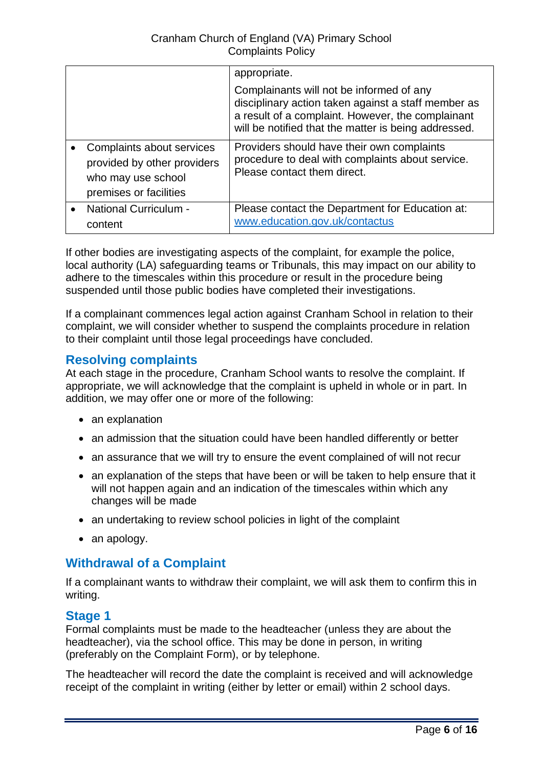|                                                                                                          | appropriate.                                                                                                                                                                                                 |
|----------------------------------------------------------------------------------------------------------|--------------------------------------------------------------------------------------------------------------------------------------------------------------------------------------------------------------|
|                                                                                                          | Complainants will not be informed of any<br>disciplinary action taken against a staff member as<br>a result of a complaint. However, the complainant<br>will be notified that the matter is being addressed. |
| Complaints about services<br>provided by other providers<br>who may use school<br>premises or facilities | Providers should have their own complaints<br>procedure to deal with complaints about service.<br>Please contact them direct.                                                                                |
| <b>National Curriculum -</b><br>content                                                                  | Please contact the Department for Education at:<br>www.education.gov.uk/contactus                                                                                                                            |

If other bodies are investigating aspects of the complaint, for example the police, local authority (LA) safeguarding teams or Tribunals, this may impact on our ability to adhere to the timescales within this procedure or result in the procedure being suspended until those public bodies have completed their investigations.

If a complainant commences legal action against Cranham School in relation to their complaint, we will consider whether to suspend the complaints procedure in relation to their complaint until those legal proceedings have concluded.

# <span id="page-5-0"></span>**Resolving complaints**

At each stage in the procedure, Cranham School wants to resolve the complaint. If appropriate, we will acknowledge that the complaint is upheld in whole or in part. In addition, we may offer one or more of the following:

- an explanation
- an admission that the situation could have been handled differently or better
- an assurance that we will try to ensure the event complained of will not recur
- an explanation of the steps that have been or will be taken to help ensure that it will not happen again and an indication of the timescales within which any changes will be made
- an undertaking to review school policies in light of the complaint
- an apology.

# <span id="page-5-1"></span>**Withdrawal of a Complaint**

If a complainant wants to withdraw their complaint, we will ask them to confirm this in writing.

# <span id="page-5-2"></span>**Stage 1**

Formal complaints must be made to the headteacher (unless they are about the headteacher), via the school office. This may be done in person, in writing (preferably on the Complaint Form), or by telephone.

The headteacher will record the date the complaint is received and will acknowledge receipt of the complaint in writing (either by letter or email) within 2 school days.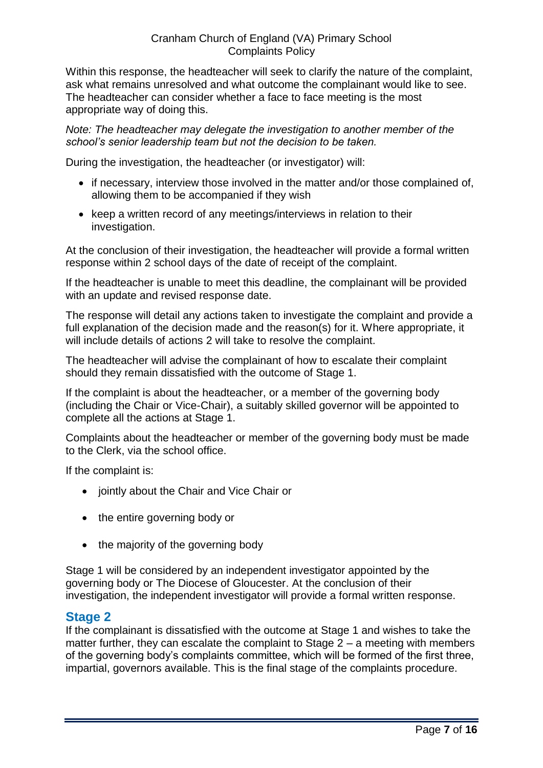Within this response, the headteacher will seek to clarify the nature of the complaint, ask what remains unresolved and what outcome the complainant would like to see. The headteacher can consider whether a face to face meeting is the most appropriate way of doing this.

*Note: The headteacher may delegate the investigation to another member of the school's senior leadership team but not the decision to be taken.*

During the investigation, the headteacher (or investigator) will:

- if necessary, interview those involved in the matter and/or those complained of, allowing them to be accompanied if they wish
- keep a written record of any meetings/interviews in relation to their investigation.

At the conclusion of their investigation, the headteacher will provide a formal written response within 2 school days of the date of receipt of the complaint.

If the headteacher is unable to meet this deadline, the complainant will be provided with an update and revised response date.

The response will detail any actions taken to investigate the complaint and provide a full explanation of the decision made and the reason(s) for it. Where appropriate, it will include details of actions 2 will take to resolve the complaint.

The headteacher will advise the complainant of how to escalate their complaint should they remain dissatisfied with the outcome of Stage 1.

If the complaint is about the headteacher, or a member of the governing body (including the Chair or Vice-Chair), a suitably skilled governor will be appointed to complete all the actions at Stage 1.

Complaints about the headteacher or member of the governing body must be made to the Clerk, via the school office.

If the complaint is:

- jointly about the Chair and Vice Chair or
- the entire governing body or
- $\bullet$  the majority of the governing body

Stage 1 will be considered by an independent investigator appointed by the governing body or The Diocese of Gloucester. At the conclusion of their investigation, the independent investigator will provide a formal written response.

# <span id="page-6-0"></span>**Stage 2**

If the complainant is dissatisfied with the outcome at Stage 1 and wishes to take the matter further, they can escalate the complaint to Stage  $2 - a$  meeting with members of the governing body's complaints committee, which will be formed of the first three, impartial, governors available. This is the final stage of the complaints procedure.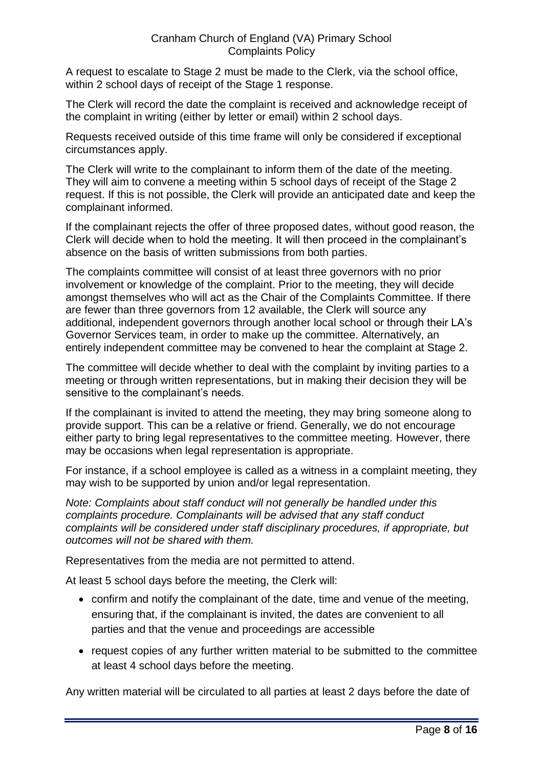A request to escalate to Stage 2 must be made to the Clerk, via the school office, within 2 school days of receipt of the Stage 1 response.

The Clerk will record the date the complaint is received and acknowledge receipt of the complaint in writing (either by letter or email) within 2 school days.

Requests received outside of this time frame will only be considered if exceptional circumstances apply.

The Clerk will write to the complainant to inform them of the date of the meeting. They will aim to convene a meeting within 5 school days of receipt of the Stage 2 request. If this is not possible, the Clerk will provide an anticipated date and keep the complainant informed.

If the complainant rejects the offer of three proposed dates, without good reason, the Clerk will decide when to hold the meeting. It will then proceed in the complainant's absence on the basis of written submissions from both parties.

The complaints committee will consist of at least three governors with no prior involvement or knowledge of the complaint. Prior to the meeting, they will decide amongst themselves who will act as the Chair of the Complaints Committee. If there are fewer than three governors from 12 available, the Clerk will source any additional, independent governors through another local school or through their LA's Governor Services team, in order to make up the committee. Alternatively, an entirely independent committee may be convened to hear the complaint at Stage 2.

The committee will decide whether to deal with the complaint by inviting parties to a meeting or through written representations, but in making their decision they will be sensitive to the complainant's needs.

If the complainant is invited to attend the meeting, they may bring someone along to provide support. This can be a relative or friend. Generally, we do not encourage either party to bring legal representatives to the committee meeting. However, there may be occasions when legal representation is appropriate.

For instance, if a school employee is called as a witness in a complaint meeting, they may wish to be supported by union and/or legal representation.

*Note: Complaints about staff conduct will not generally be handled under this complaints procedure. Complainants will be advised that any staff conduct complaints will be considered under staff disciplinary procedures, if appropriate, but outcomes will not be shared with them.* 

Representatives from the media are not permitted to attend.

At least 5 school days before the meeting, the Clerk will:

- confirm and notify the complainant of the date, time and venue of the meeting, ensuring that, if the complainant is invited, the dates are convenient to all parties and that the venue and proceedings are accessible
- request copies of any further written material to be submitted to the committee at least 4 school days before the meeting.

Any written material will be circulated to all parties at least 2 days before the date of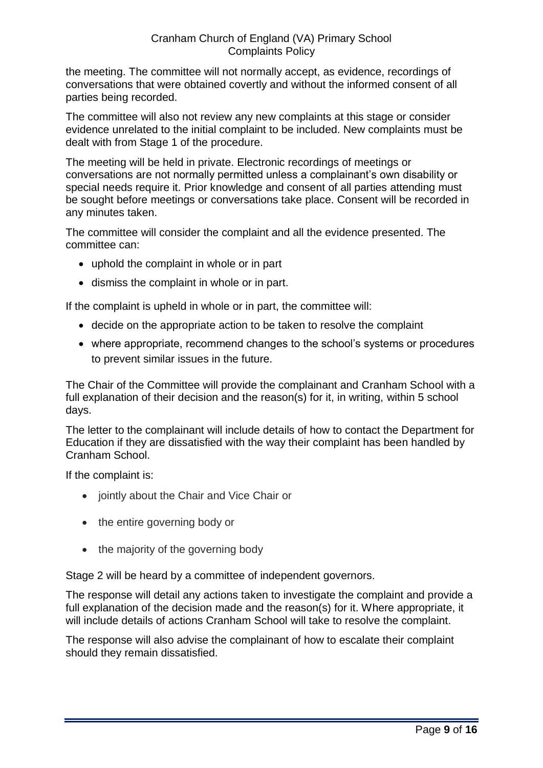the meeting. The committee will not normally accept, as evidence, recordings of conversations that were obtained covertly and without the informed consent of all parties being recorded.

The committee will also not review any new complaints at this stage or consider evidence unrelated to the initial complaint to be included. New complaints must be dealt with from Stage 1 of the procedure.

The meeting will be held in private. Electronic recordings of meetings or conversations are not normally permitted unless a complainant's own disability or special needs require it. Prior knowledge and consent of all parties attending must be sought before meetings or conversations take place. Consent will be recorded in any minutes taken.

The committee will consider the complaint and all the evidence presented. The committee can:

- uphold the complaint in whole or in part
- dismiss the complaint in whole or in part.

If the complaint is upheld in whole or in part, the committee will:

- decide on the appropriate action to be taken to resolve the complaint
- where appropriate, recommend changes to the school's systems or procedures to prevent similar issues in the future.

The Chair of the Committee will provide the complainant and Cranham School with a full explanation of their decision and the reason(s) for it, in writing, within 5 school days.

The letter to the complainant will include details of how to contact the Department for Education if they are dissatisfied with the way their complaint has been handled by Cranham School.

If the complaint is:

- jointly about the Chair and Vice Chair or
- the entire governing body or
- the majority of the governing body

Stage 2 will be heard by a committee of independent governors.

The response will detail any actions taken to investigate the complaint and provide a full explanation of the decision made and the reason(s) for it. Where appropriate, it will include details of actions Cranham School will take to resolve the complaint.

The response will also advise the complainant of how to escalate their complaint should they remain dissatisfied.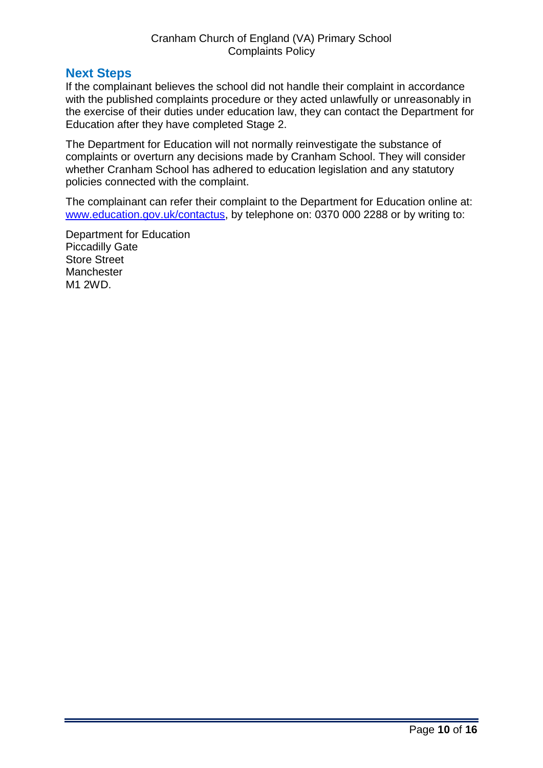# <span id="page-9-0"></span>**Next Steps**

If the complainant believes the school did not handle their complaint in accordance with the published complaints procedure or they acted unlawfully or unreasonably in the exercise of their duties under education law, they can contact the Department for Education after they have completed Stage 2.

The Department for Education will not normally reinvestigate the substance of complaints or overturn any decisions made by Cranham School. They will consider whether Cranham School has adhered to education legislation and any statutory policies connected with the complaint.

The complainant can refer their complaint to the Department for Education online at: [www.education.gov.uk/contactus,](http://www.education.gov.uk/contactus) by telephone on: 0370 000 2288 or by writing to:

Department for Education Piccadilly Gate Store Street **Manchester** M1 2WD.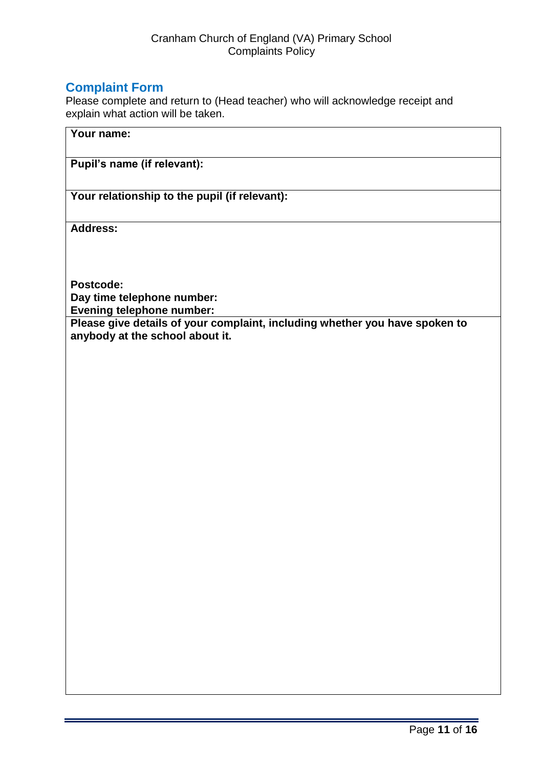# <span id="page-10-0"></span>**Complaint Form**

Please complete and return to (Head teacher) who will acknowledge receipt and explain what action will be taken.

**Pupil's name (if relevant):**

**Your relationship to the pupil (if relevant):**

**Address:** 

**Postcode: Day time telephone number:**

**Evening telephone number:**

**Please give details of your complaint, including whether you have spoken to anybody at the school about it.**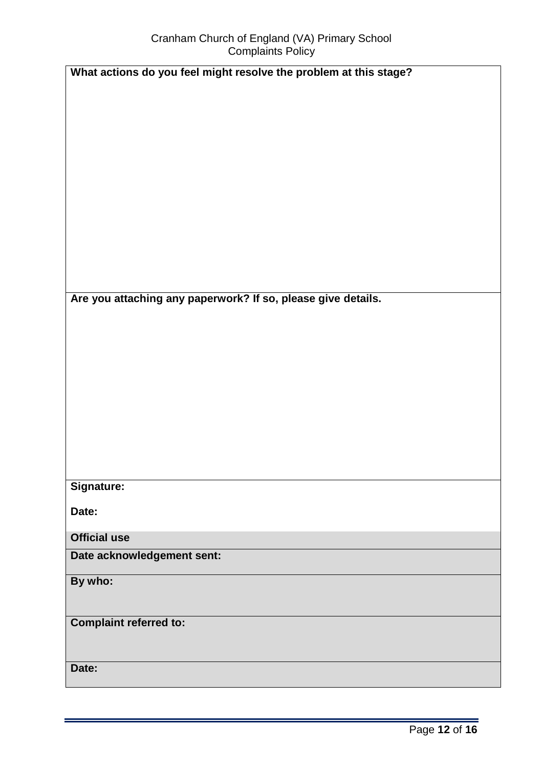| $\sim$                                                            |
|-------------------------------------------------------------------|
| What actions do you feel might resolve the problem at this stage? |
|                                                                   |
|                                                                   |
|                                                                   |
|                                                                   |
|                                                                   |
|                                                                   |
|                                                                   |
|                                                                   |
|                                                                   |
| Are you attaching any paperwork? If so, please give details.      |
|                                                                   |
|                                                                   |
|                                                                   |
|                                                                   |
|                                                                   |
|                                                                   |
|                                                                   |
| Signature:                                                        |
| Date:                                                             |
| <b>Official use</b>                                               |
| Date acknowledgement sent:                                        |
| By who:                                                           |
|                                                                   |
| <b>Complaint referred to:</b>                                     |
|                                                                   |
| Date:                                                             |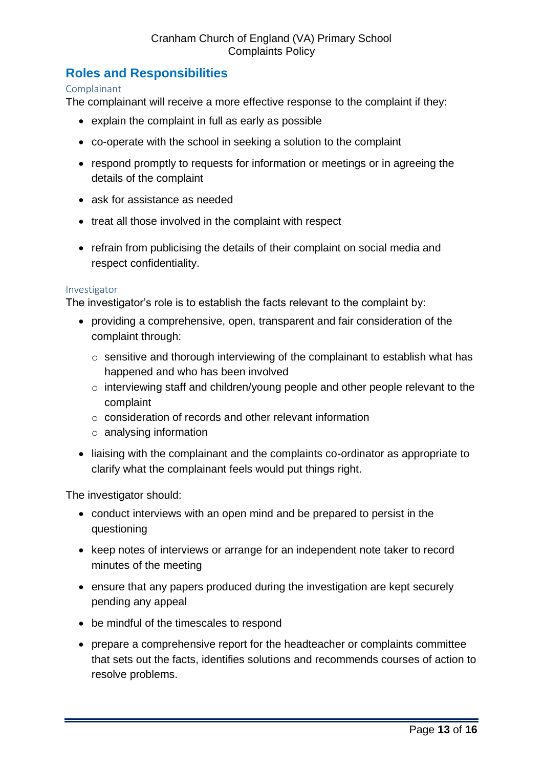# <span id="page-12-0"></span>**Roles and Responsibilities**

#### <span id="page-12-1"></span>Complainant

The complainant will receive a more effective response to the complaint if they:

- explain the complaint in full as early as possible
- co-operate with the school in seeking a solution to the complaint
- respond promptly to requests for information or meetings or in agreeing the details of the complaint
- ask for assistance as needed
- treat all those involved in the complaint with respect
- refrain from publicising the details of their complaint on social media and respect confidentiality.

#### <span id="page-12-2"></span>Investigator

The investigator's role is to establish the facts relevant to the complaint by:

- providing a comprehensive, open, transparent and fair consideration of the complaint through:
	- o sensitive and thorough interviewing of the complainant to establish what has happened and who has been involved
	- o interviewing staff and children/young people and other people relevant to the complaint
	- o consideration of records and other relevant information
	- o analysing information
- liaising with the complainant and the complaints co-ordinator as appropriate to clarify what the complainant feels would put things right.

The investigator should:

- conduct interviews with an open mind and be prepared to persist in the questioning
- keep notes of interviews or arrange for an independent note taker to record minutes of the meeting
- ensure that any papers produced during the investigation are kept securely pending any appeal
- be mindful of the timescales to respond
- prepare a comprehensive report for the headteacher or complaints committee that sets out the facts, identifies solutions and recommends courses of action to resolve problems.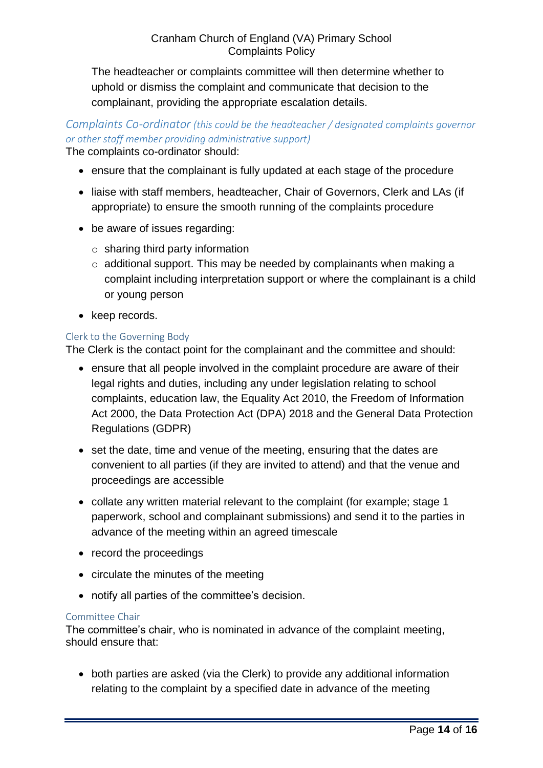The headteacher or complaints committee will then determine whether to uphold or dismiss the complaint and communicate that decision to the complainant, providing the appropriate escalation details.

# *Complaints Co-ordinator (this could be the headteacher / designated complaints governor or other staff member providing administrative support)*

The complaints co-ordinator should:

- ensure that the complainant is fully updated at each stage of the procedure
- liaise with staff members, headteacher, Chair of Governors, Clerk and LAs (if appropriate) to ensure the smooth running of the complaints procedure
- be aware of issues regarding:
	- $\circ$  sharing third party information
	- o additional support. This may be needed by complainants when making a complaint including interpretation support or where the complainant is a child or young person
- keep records.

#### <span id="page-13-0"></span>Clerk to the Governing Body

The Clerk is the contact point for the complainant and the committee and should:

- ensure that all people involved in the complaint procedure are aware of their legal rights and duties, including any under legislation relating to school complaints, education law, the Equality Act 2010, the Freedom of Information Act 2000, the Data Protection Act (DPA) 2018 and the General Data Protection Regulations (GDPR)
- set the date, time and venue of the meeting, ensuring that the dates are convenient to all parties (if they are invited to attend) and that the venue and proceedings are accessible
- collate any written material relevant to the complaint (for example; stage 1 paperwork, school and complainant submissions) and send it to the parties in advance of the meeting within an agreed timescale
- record the proceedings
- circulate the minutes of the meeting
- notify all parties of the committee's decision.

#### <span id="page-13-1"></span>Committee Chair

The committee's chair, who is nominated in advance of the complaint meeting, should ensure that:

 both parties are asked (via the Clerk) to provide any additional information relating to the complaint by a specified date in advance of the meeting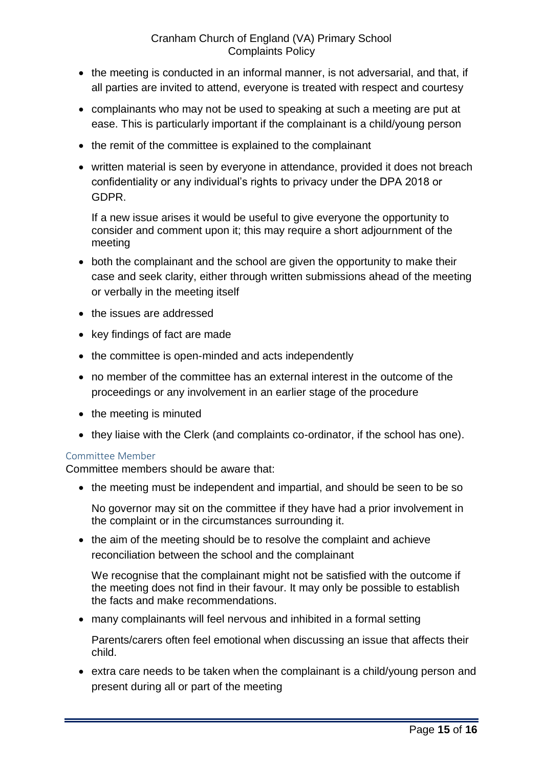- the meeting is conducted in an informal manner, is not adversarial, and that, if all parties are invited to attend, everyone is treated with respect and courtesy
- complainants who may not be used to speaking at such a meeting are put at ease. This is particularly important if the complainant is a child/young person
- the remit of the committee is explained to the complainant
- written material is seen by everyone in attendance, provided it does not breach confidentiality or any individual's rights to privacy under the DPA 2018 or GDPR.

If a new issue arises it would be useful to give everyone the opportunity to consider and comment upon it; this may require a short adjournment of the meeting

- both the complainant and the school are given the opportunity to make their case and seek clarity, either through written submissions ahead of the meeting or verbally in the meeting itself
- the issues are addressed
- key findings of fact are made
- the committee is open-minded and acts independently
- no member of the committee has an external interest in the outcome of the proceedings or any involvement in an earlier stage of the procedure
- the meeting is minuted
- they liaise with the Clerk (and complaints co-ordinator, if the school has one).

#### <span id="page-14-0"></span>Committee Member

Committee members should be aware that:

• the meeting must be independent and impartial, and should be seen to be so

No governor may sit on the committee if they have had a prior involvement in the complaint or in the circumstances surrounding it.

• the aim of the meeting should be to resolve the complaint and achieve reconciliation between the school and the complainant

We recognise that the complainant might not be satisfied with the outcome if the meeting does not find in their favour. It may only be possible to establish the facts and make recommendations.

many complainants will feel nervous and inhibited in a formal setting

Parents/carers often feel emotional when discussing an issue that affects their child.

 extra care needs to be taken when the complainant is a child/young person and present during all or part of the meeting